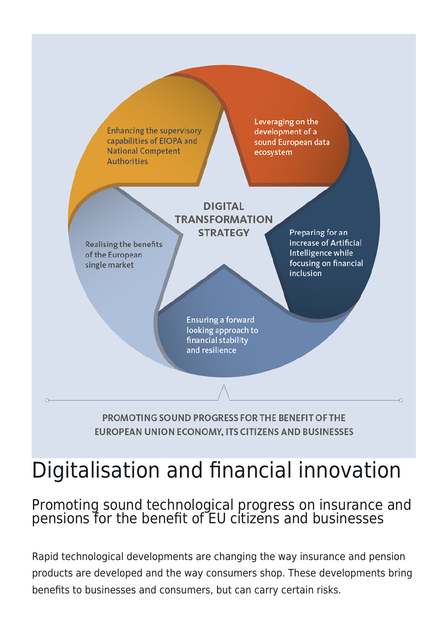

# Digitalisation and financial innovation

## Promoting sound technological progress on insurance and pensions for the benefit of EU citizens and businesses

Rapid technological developments are changing the way insurance and pension products are developed and the way consumers shop. These developments bring benefits to businesses and consumers, but can carry certain risks.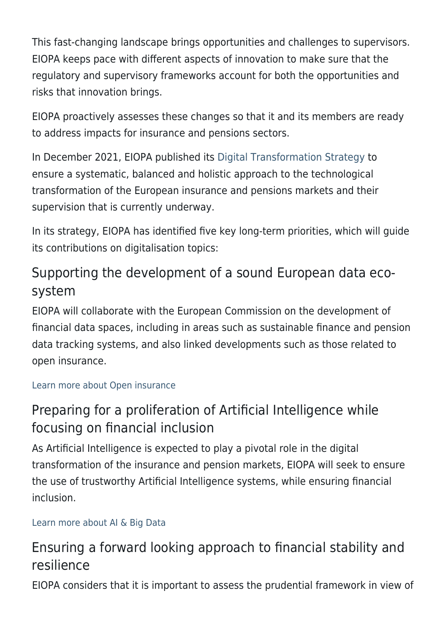This fast-changing landscape brings opportunities and challenges to supervisors. EIOPA keeps pace with different aspects of innovation to make sure that the regulatory and supervisory frameworks account for both the opportunities and risks that innovation brings.

EIOPA proactively assesses these changes so that it and its members are ready to address impacts for insurance and pensions sectors.

In December 2021, EIOPA published its [Digital Transformation Strategy](http://www.eiopa.europa.eu/media/news/eiopa-sets-out-forward-looking-digital-transformation-strategy_en) to ensure a systematic, balanced and holistic approach to the technological transformation of the European insurance and pensions markets and their supervision that is currently underway.

In its strategy, EIOPA has identified five key long-term priorities, which will guide its contributions on digitalisation topics:

# Supporting the development of a sound European data ecosystem

EIOPA will collaborate with the European Commission on the development of financial data spaces, including in areas such as sustainable finance and pension data tracking systems, and also linked developments such as those related to open insurance.

#### [Learn more about Open insurance](https://www.eiopa.europa.eu/open-insurance_en)

# Preparing for a proliferation of Artificial Intelligence while focusing on financial inclusion

As Artificial Intelligence is expected to play a pivotal role in the digital transformation of the insurance and pension markets, EIOPA will seek to ensure the use of trustworthy Artificial Intelligence systems, while ensuring financial inclusion.

## [Learn more about AI & Big Data](https://www.eiopa.europa.eu/artificial-intelligence-and-big-data_en)

# Ensuring a forward looking approach to financial stability and resilience

EIOPA considers that it is important to assess the prudential framework in view of